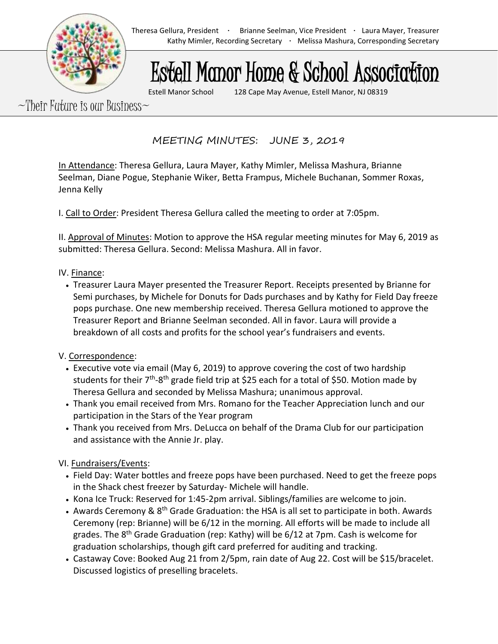## Estell Manor Home & School Association

Estell Manor School 128 Cape May Avenue, Estell Manor, NJ 08319

 $\sim$ Their Future is our Business $\sim$ 

MEETING MINUTES: JUNE 3, 2019

In Attendance: Theresa Gellura, Laura Mayer, Kathy Mimler, Melissa Mashura, Brianne Seelman, Diane Pogue, Stephanie Wiker, Betta Frampus, Michele Buchanan, Sommer Roxas, Jenna Kelly

I. Call to Order: President Theresa Gellura called the meeting to order at 7:05pm.

II. Approval of Minutes: Motion to approve the HSA regular meeting minutes for May 6, 2019 as submitted: Theresa Gellura. Second: Melissa Mashura. All in favor.

## IV. Finance:

• Treasurer Laura Mayer presented the Treasurer Report. Receipts presented by Brianne for Semi purchases, by Michele for Donuts for Dads purchases and by Kathy for Field Day freeze pops purchase. One new membership received. Theresa Gellura motioned to approve the Treasurer Report and Brianne Seelman seconded. All in favor. Laura will provide a breakdown of all costs and profits for the school year's fundraisers and events.

## V. Correspondence:

- Executive vote via email (May 6, 2019) to approve covering the cost of two hardship students for their 7<sup>th</sup>-8<sup>th</sup> grade field trip at \$25 each for a total of \$50. Motion made by Theresa Gellura and seconded by Melissa Mashura; unanimous approval.
- Thank you email received from Mrs. Romano for the Teacher Appreciation lunch and our participation in the Stars of the Year program
- Thank you received from Mrs. DeLucca on behalf of the Drama Club for our participation and assistance with the Annie Jr. play.

VI. Fundraisers/Events:

- Field Day: Water bottles and freeze pops have been purchased. Need to get the freeze pops in the Shack chest freezer by Saturday- Michele will handle.
- Kona Ice Truck: Reserved for 1:45-2pm arrival. Siblings/families are welcome to join.
- Awards Ceremony &  $8<sup>th</sup>$  Grade Graduation: the HSA is all set to participate in both. Awards Ceremony (rep: Brianne) will be 6/12 in the morning. All efforts will be made to include all grades. The 8<sup>th</sup> Grade Graduation (rep: Kathy) will be 6/12 at 7pm. Cash is welcome for graduation scholarships, though gift card preferred for auditing and tracking.
- Castaway Cove: Booked Aug 21 from 2/5pm, rain date of Aug 22. Cost will be \$15/bracelet. Discussed logistics of preselling bracelets.